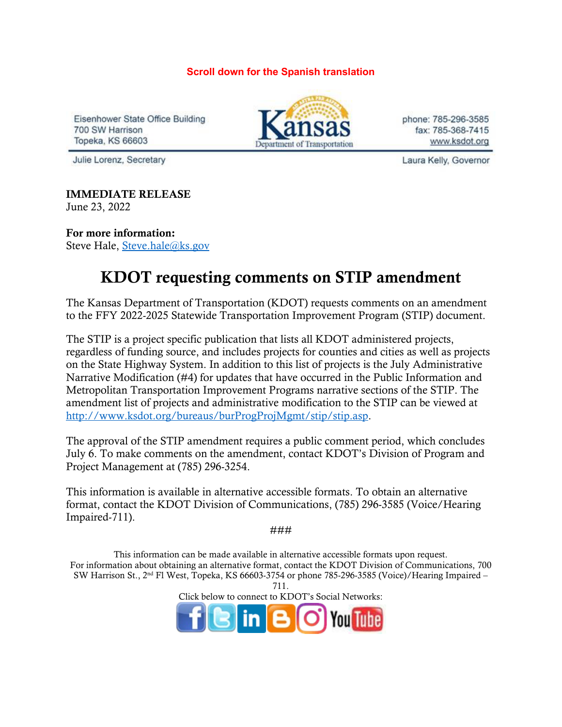**Scroll down for the Spanish translation**

Eisenhower State Office Building 700 SW Harrison **Topeka, KS 66603** 



phone: 785-296-3585 fax: 785-368-7415 www.ksdot.org

Julie Lorenz, Secretary

Laura Kelly, Governor

IMMEDIATE RELEASE June 23, 2022

For more information: Steve Hale, [Steve.hale@ks.gov](mailto:Steve.hale@ks.gov)

## KDOT requesting comments on STIP amendment

The Kansas Department of Transportation (KDOT) requests comments on an amendment to the FFY 2022-2025 Statewide Transportation Improvement Program (STIP) document.

The STIP is a project specific publication that lists all KDOT administered projects, regardless of funding source, and includes projects for counties and cities as well as projects on the State Highway System. In addition to this list of projects is the July Administrative Narrative Modification (#4) for updates that have occurred in the Public Information and Metropolitan Transportation Improvement Programs narrative sections of the STIP. The amendment list of projects and administrative modification to the STIP can be viewed at [http://www.ksdot.org/bureaus/burProgProjMgmt/stip/stip.asp.](https://gcc02.safelinks.protection.outlook.com/?url=http%3A%2F%2Fwww.ksdot.org%2Fbureaus%2FburProgProjMgmt%2Fstip%2Fstip.asp&data=05%7C01%7CKim.Stich%40ks.gov%7C8c19950f312348a226c708da544f94b0%7Cdcae8101c92d480cbc43c6761ccccc5a%7C0%7C0%7C637914998031156851%7CUnknown%7CTWFpbGZsb3d8eyJWIjoiMC4wLjAwMDAiLCJQIjoiV2luMzIiLCJBTiI6Ik1haWwiLCJXVCI6Mn0%3D%7C3000%7C%7C%7C&sdata=ccwR%2FZfpqTu9jyst%2F%2BSyNHXf8x7MNYaPPodBI9u1GVM%3D&reserved=0)

The approval of the STIP amendment requires a public comment period, which concludes July 6. To make comments on the amendment, contact KDOT's Division of Program and Project Management at (785) 296-3254.

This information is available in alternative accessible formats. To obtain an alternative format, contact the KDOT Division of Communications, (785) 296-3585 (Voice/Hearing Impaired-711).

###

This information can be made available in alternative accessible formats upon request. For information about obtaining an alternative format, contact the KDOT Division of Communications, 700 SW Harrison St., 2nd Fl West, Topeka, KS 66603-3754 or phone 785-296-3585 (Voice)/Hearing Impaired –

711. Click below to connect to KDOT's Social Networks: